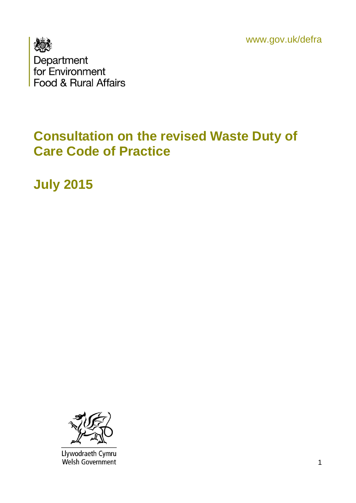www.gov.uk/defra



### **Consultation on the revised Waste Duty of Care Code of Practice**

**July 2015**



Llywodraeth Cymru<br>Welsh Government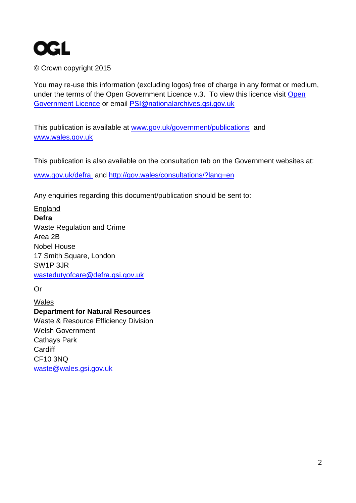

© Crown copyright 2015

You may re-use this information (excluding logos) free of charge in any format or medium, under the terms of the [Open](http://www.nationalarchives.gov.uk/doc/open-government-licence/version/3/) Government Licence v.3. To view this licence visit Open [Government Licence](http://www.nationalarchives.gov.uk/doc/open-government-licence/version/3/) or email [PSI@nationalarchives.gsi.gov.uk](mailto:PSI@nationalarchives.gsi.gov.uk) 

This publication is available at [www.gov.uk/government/publications](http://www.gov.uk/government/publications) and [www.wales.gov.uk](http://www.wales.gov.uk/)

This publication is also available on the consultation tab on the Government websites at: [www.gov.uk/defra](http://www.gov.uk/defra) and http://gov.wales/consultations/?lang=en

Any enquiries regarding this document/publication should be sent to:

England **Defra** Waste Regulation and Crime Area 2B Nobel House 17 Smith Square, London SW1P 3JR [wastedutyofcare@defra.gsi.gov.uk](mailto:wastedutyofcare@defra.gsi.gov.uk)

Or

Wales **Department for Natural Resources**  Waste & Resource Efficiency Division Welsh Government Cathays Park **Cardiff** CF10 3NQ [waste@wales.gsi.gov.uk](mailto:waste@wales.gsi.gov.uk)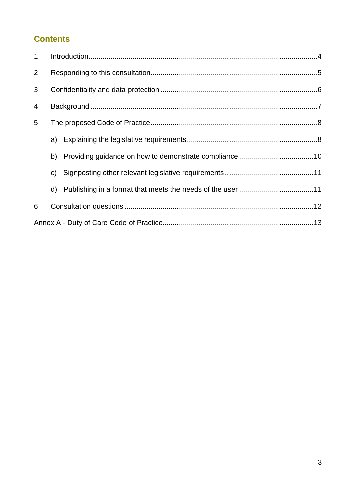#### **Contents**

| $\mathbf{1}$   |              |  |
|----------------|--------------|--|
| $\overline{2}$ |              |  |
| 3              |              |  |
| $\overline{4}$ |              |  |
| 5              |              |  |
|                |              |  |
|                | b)           |  |
|                | $\mathsf{C}$ |  |
|                | d)           |  |
| 6              |              |  |
|                |              |  |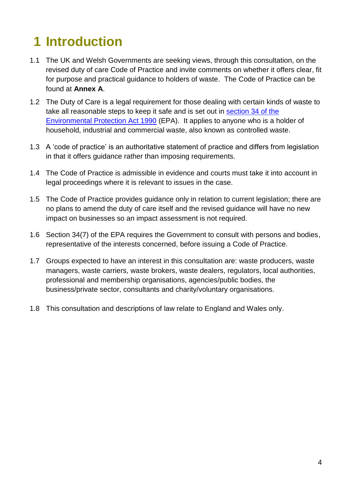# <span id="page-3-0"></span>**1 Introduction**

- 1.1 The UK and Welsh Governments are seeking views, through this consultation, on the revised duty of care Code of Practice and invite comments on whether it offers clear, fit for purpose and practical guidance to holders of waste. The Code of Practice can be found at **Annex A**.
- 1.2 The Duty of Care is a legal requirement for those dealing with certain kinds of waste to take all reasonable steps to keep it safe and is set out in [section 34 of the](http://www.legislation.gov.uk/ukpga/1990/43/section/34)  [Environmental Protection Act 1990](http://www.legislation.gov.uk/ukpga/1990/43/section/34) (EPA). It applies to anyone who is a holder of household, industrial and commercial waste, also known as controlled waste.
- 1.3 A 'code of practice' is an authoritative statement of practice and differs from legislation in that it offers guidance rather than imposing requirements.
- 1.4 The Code of Practice is admissible in evidence and courts must take it into account in legal proceedings where it is relevant to issues in the case.
- 1.5 The Code of Practice provides guidance only in relation to current legislation; there are no plans to amend the duty of care itself and the revised guidance will have no new impact on businesses so an impact assessment is not required.
- 1.6 Section 34(7) of the EPA requires the Government to consult with persons and bodies, representative of the interests concerned, before issuing a Code of Practice.
- 1.7 Groups expected to have an interest in this consultation are: waste producers, waste managers, waste carriers, waste brokers, waste dealers, regulators, local authorities, professional and membership organisations, agencies/public bodies, the business/private sector, consultants and charity/voluntary organisations.
- 1.8 This consultation and descriptions of law relate to England and Wales only.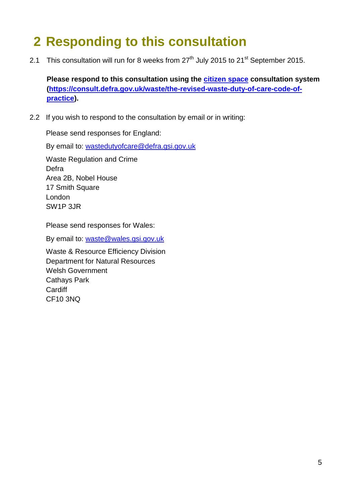### <span id="page-4-0"></span>**2 Responding to this consultation**

2.1 This consultation will run for 8 weeks from  $27<sup>th</sup>$  July 2015 to  $21<sup>st</sup>$  September 2015.

**Please respond to this consultation using the [citizen space](file://SAMVW3-FILE03/common_ADH327FS/RESOURCE_ASD/Cross%20Cutting/Regulation%20&%20Crime/Waste%20Crime/Duty%20of%20Care/DoC%20Code%20of%20Practice%20Revision/Consultation%202015/citizen%20space%20consultation%20system) consultation system [\(https://consult.defra.gov.uk/waste/the-revised-waste-duty-of-care-code-of](https://consult.defra.gov.uk/waste/the-revised-waste-duty-of-care-code-of-practice)[practice\)](https://consult.defra.gov.uk/waste/the-revised-waste-duty-of-care-code-of-practice).**

2.2 If you wish to respond to the consultation by email or in writing:

Please send responses for England:

By email to: [wastedutyofcare@defra.gsi.gov.uk](mailto:wastedutyofcare@defra.gsi.gov.uk)

Waste Regulation and Crime Defra Area 2B, Nobel House 17 Smith Square London SW1P 3JR

Please send responses for Wales:

By email to: [waste@wales.gsi.gov.uk](mailto:waste@wales.gsi.gov.uk)

Waste & Resource Efficiency Division Department for Natural Resources Welsh Government Cathays Park **Cardiff** CF10 3NQ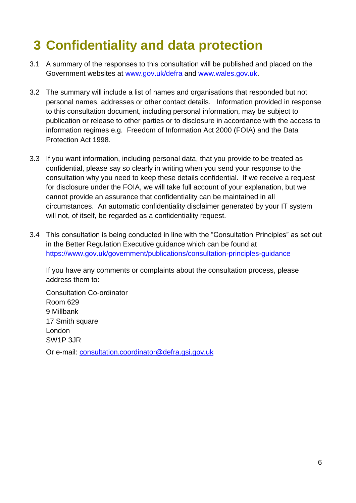## <span id="page-5-0"></span>**3 Confidentiality and data protection**

- 3.1 A summary of the responses to this consultation will be published and placed on the Government websites at [www.gov.uk/defra](http://www.gov.uk/defra) and [www.wales.gov.uk.](http://www.wales.gov.uk/)
- 3.2 The summary will include a list of names and organisations that responded but not personal names, addresses or other contact details. Information provided in response to this consultation document, including personal information, may be subject to publication or release to other parties or to disclosure in accordance with the access to information regimes e.g. Freedom of Information Act 2000 (FOIA) and the Data Protection Act 1998.
- 3.3 If you want information, including personal data, that you provide to be treated as confidential, please say so clearly in writing when you send your response to the consultation why you need to keep these details confidential. If we receive a request for disclosure under the FOIA, we will take full account of your explanation, but we cannot provide an assurance that confidentiality can be maintained in all circumstances. An automatic confidentiality disclaimer generated by your IT system will not, of itself, be regarded as a confidentiality request.
- 3.4 This consultation is being conducted in line with the "Consultation Principles" as set out in the Better Regulation Executive guidance which can be found at <https://www.gov.uk/government/publications/consultation-principles-guidance>

If you have any comments or complaints about the consultation process, please address them to:

Consultation Co-ordinator Room 629 9 Millbank 17 Smith square London SW1P 3JR

Or e-mail: [consultation.coordinator@defra.gsi.gov.uk](mailto:consultation.coordinator@defra.gsi.gov.uk)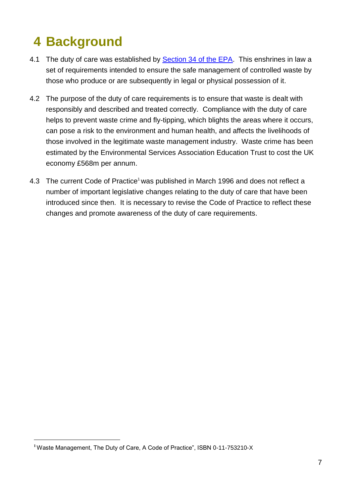# <span id="page-6-0"></span>**4 Background**

- 4.1 The duty of care was established by [Section 34 of the EPA.](http://www.legislation.gov.uk/ukpga/1990/43/section/34) This enshrines in law a set of requirements intended to ensure the safe management of controlled waste by those who produce or are subsequently in legal or physical possession of it.
- 4.2 The purpose of the duty of care requirements is to ensure that waste is dealt with responsibly and described and treated correctly. Compliance with the duty of care helps to prevent waste crime and fly-tipping, which blights the areas where it occurs, can pose a risk to the environment and human health, and affects the livelihoods of those involved in the legitimate waste management industry. Waste crime has been estimated by the Environmental Services Association Education Trust to cost the UK economy £568m per annum.
- 4.3 The current Code of Practice<sup>1</sup> was published in March 1996 and does not reflect a number of important legislative changes relating to the duty of care that have been introduced since then. It is necessary to revise the Code of Practice to reflect these changes and promote awareness of the duty of care requirements.

**<sup>1</sup>**Waste Management, The Duty of Care, A Code of Practice", ISBN 0-11-753210-X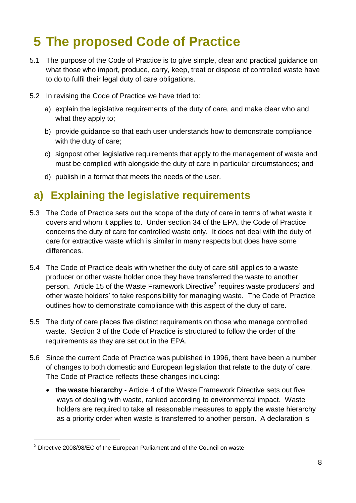## <span id="page-7-0"></span>**5 The proposed Code of Practice**

- 5.1 The purpose of the Code of Practice is to give simple, clear and practical guidance on what those who import, produce, carry, keep, treat or dispose of controlled waste have to do to fulfil their legal duty of care obligations.
- 5.2 In revising the Code of Practice we have tried to:
	- a) explain the legislative requirements of the duty of care, and make clear who and what they apply to;
	- b) provide guidance so that each user understands how to demonstrate compliance with the duty of care;
	- c) signpost other legislative requirements that apply to the management of waste and must be complied with alongside the duty of care in particular circumstances; and
	- d) publish in a format that meets the needs of the user.

### <span id="page-7-1"></span>**a) Explaining the legislative requirements**

- 5.3 The Code of Practice sets out the scope of the duty of care in terms of what waste it covers and whom it applies to. Under section 34 of the EPA, the Code of Practice concerns the duty of care for controlled waste only. It does not deal with the duty of care for extractive waste which is similar in many respects but does have some differences.
- 5.4 The Code of Practice deals with whether the duty of care still applies to a waste producer or other waste holder once they have transferred the waste to another person. Article 15 of the Waste Framework Directive<sup>2</sup> requires waste producers' and other waste holders' to take responsibility for managing waste. The Code of Practice outlines how to demonstrate compliance with this aspect of the duty of care.
- 5.5 The duty of care places five distinct requirements on those who manage controlled waste. Section 3 of the Code of Practice is structured to follow the order of the requirements as they are set out in the EPA.
- 5.6 Since the current Code of Practice was published in 1996, there have been a number of changes to both domestic and European legislation that relate to the duty of care. The Code of Practice reflects these changes including:
	- **the waste hierarchy** Article 4 of the Waste Framework Directive sets out five ways of dealing with waste, ranked according to environmental impact. Waste holders are required to take all reasonable measures to apply the waste hierarchy as a priority order when waste is transferred to another person. A declaration is

**<sup>2</sup>** Directive 2008/98/EC of the European Parliament and of the Council on waste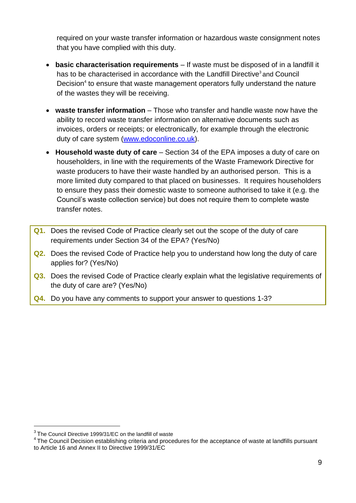required on your waste transfer information or hazardous waste consignment notes that you have complied with this duty.

- **basic characterisation requirements** If waste must be disposed of in a landfill it has to be characterised in accordance with the Landfill Directive<sup>3</sup> and Council Decision<sup>4</sup> to ensure that waste management operators fully understand the nature of the wastes they will be receiving.
- **waste transfer information** Those who transfer and handle waste now have the ability to record waste transfer information on alternative documents such as invoices, orders or receipts; or electronically, for example through the electronic duty of care system [\(www.edoconline.co.uk\)](http://www.edoconline.co.uk/).
- **Household waste duty of care** Section 34 of the EPA imposes a duty of care on householders, in line with the requirements of the Waste Framework Directive for waste producers to have their waste handled by an authorised person. This is a more limited duty compared to that placed on businesses. It requires householders to ensure they pass their domestic waste to someone authorised to take it (e.g. the Council's waste collection service) but does not require them to complete waste transfer notes.
- **Q1.** Does the revised Code of Practice clearly set out the scope of the duty of care requirements under Section 34 of the EPA? (Yes/No)
- **Q2.** Does the revised Code of Practice help you to understand how long the duty of care applies for? (Yes/No)
- **Q3.** Does the revised Code of Practice clearly explain what the legislative requirements of the duty of care are? (Yes/No)
- **Q4.** Do you have any comments to support your answer to questions 1-3?

<sup>&</sup>lt;sup>3</sup> The Council Directive 1999/31/EC on the landfill of waste

<sup>&</sup>lt;sup>4</sup> The Council Decision establishing criteria and procedures for the acceptance of waste at landfills pursuant to Article 16 and Annex II to Directive 1999/31/EC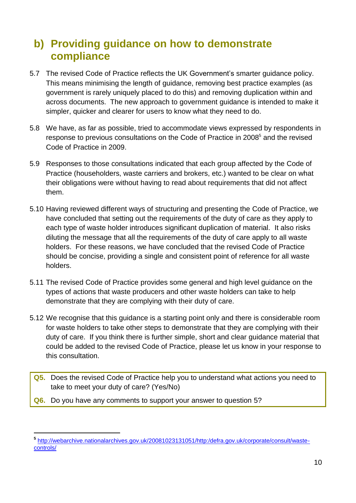### <span id="page-9-0"></span>**b) Providing guidance on how to demonstrate compliance**

- 5.7 The revised Code of Practice reflects the UK Government's smarter guidance policy. This means minimising the length of guidance, removing best practice examples (as government is rarely uniquely placed to do this) and removing duplication within and across documents. The new approach to government guidance is intended to make it simpler, quicker and clearer for users to know what they need to do.
- 5.8 We have, as far as possible, tried to accommodate views expressed by respondents in response to previous consultations on the Code of Practice in 2008<sup>5</sup> and the revised Code of Practice in 2009.
- 5.9 Responses to those consultations indicated that each group affected by the Code of Practice (householders, waste carriers and brokers, etc.) wanted to be clear on what their obligations were without having to read about requirements that did not affect them.
- 5.10 Having reviewed different ways of structuring and presenting the Code of Practice, we have concluded that setting out the requirements of the duty of care as they apply to each type of waste holder introduces significant duplication of material. It also risks diluting the message that all the requirements of the duty of care apply to all waste holders. For these reasons, we have concluded that the revised Code of Practice should be concise, providing a single and consistent point of reference for all waste holders.
- 5.11 The revised Code of Practice provides some general and high level guidance on the types of actions that waste producers and other waste holders can take to help demonstrate that they are complying with their duty of care.
- 5.12 We recognise that this guidance is a starting point only and there is considerable room for waste holders to take other steps to demonstrate that they are complying with their duty of care. If you think there is further simple, short and clear guidance material that could be added to the revised Code of Practice, please let us know in your response to this consultation.
- **Q5.** Does the revised Code of Practice help you to understand what actions you need to take to meet your duty of care? (Yes/No)
- **Q6.** Do you have any comments to support your answer to question 5?

**<sup>5</sup>** [http://webarchive.nationalarchives.gov.uk/20081023131051/http:/defra.gov.uk/corporate/consult/waste](http://webarchive.nationalarchives.gov.uk/20081023131051/http:/defra.gov.uk/corporate/consult/waste-controls/)[controls/](http://webarchive.nationalarchives.gov.uk/20081023131051/http:/defra.gov.uk/corporate/consult/waste-controls/)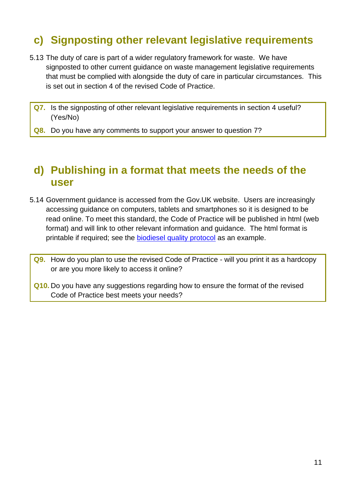### <span id="page-10-0"></span>**c) Signposting other relevant legislative requirements**

- 5.13 The duty of care is part of a wider regulatory framework for waste. We have signposted to other current guidance on waste management legislative requirements that must be complied with alongside the duty of care in particular circumstances. This is set out in section 4 of the revised Code of Practice.
	- **Q7.** Is the signposting of other relevant legislative requirements in section 4 useful? (Yes/No)
	- **Q8.** Do you have any comments to support your answer to question 7?

#### <span id="page-10-1"></span>**d) Publishing in a format that meets the needs of the user**

5.14 Government guidance is accessed from the Gov.UK website. Users are increasingly accessing guidance on computers, tablets and smartphones so it is designed to be read online. To meet this standard, the Code of Practice will be published in html (web format) and will link to other relevant information and guidance. The html format is printable if required; see the [biodiesel quality protocol](https://www.gov.uk/government/publications/biodiesel-quality-protocol) as an example.

**Q9.** How do you plan to use the revised Code of Practice - will you print it as a hardcopy or are you more likely to access it online?

**Q10.** Do you have any suggestions regarding how to ensure the format of the revised Code of Practice best meets your needs?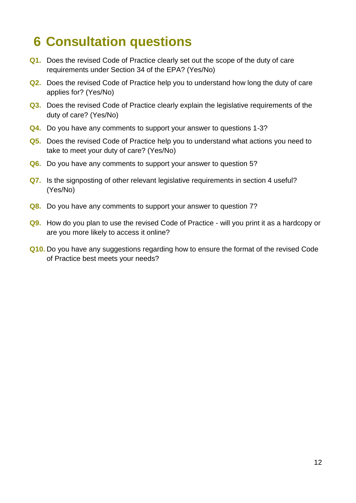### <span id="page-11-0"></span>**6 Consultation questions**

- **Q1.** Does the revised Code of Practice clearly set out the scope of the duty of care requirements under Section 34 of the EPA? (Yes/No)
- **Q2.** Does the revised Code of Practice help you to understand how long the duty of care applies for? (Yes/No)
- **Q3.** Does the revised Code of Practice clearly explain the legislative requirements of the duty of care? (Yes/No)
- **Q4.** Do you have any comments to support your answer to questions 1-3?
- **Q5.** Does the revised Code of Practice help you to understand what actions you need to take to meet your duty of care? (Yes/No)
- **Q6.** Do you have any comments to support your answer to question 5?
- **Q7.** Is the signposting of other relevant legislative requirements in section 4 useful? (Yes/No)
- **Q8.** Do you have any comments to support your answer to question 7?
- **Q9.** How do you plan to use the revised Code of Practice will you print it as a hardcopy or are you more likely to access it online?
- **Q10.** Do you have any suggestions regarding how to ensure the format of the revised Code of Practice best meets your needs?